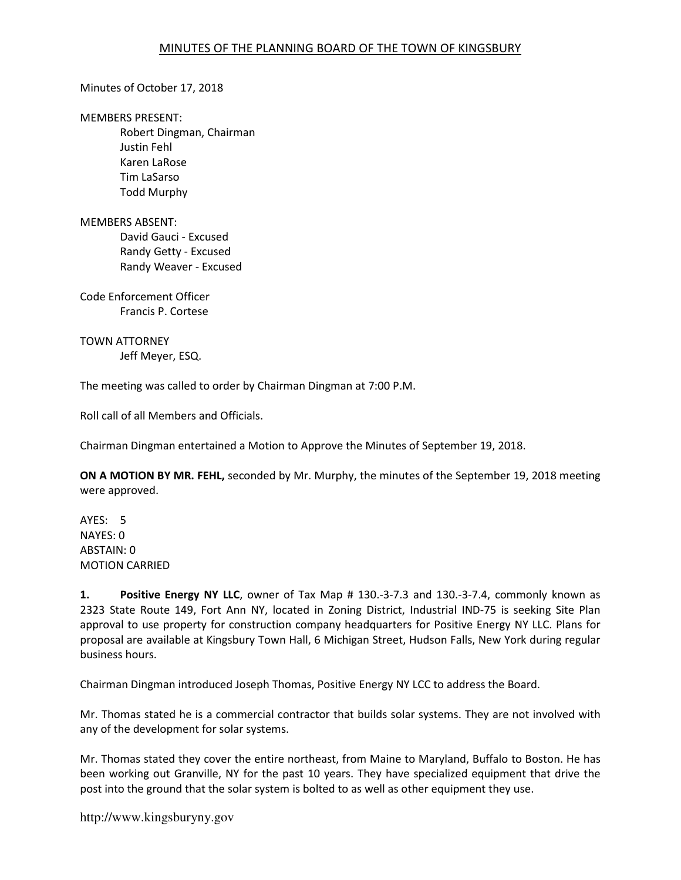Minutes of October 17, 2018

MEMBERS PRESENT:

Robert Dingman, Chairman Justin Fehl Karen LaRose Tim LaSarso Todd Murphy

MEMBERS ABSENT: David Gauci - Excused Randy Getty - Excused Randy Weaver - Excused

Code Enforcement Officer Francis P. Cortese

TOWN ATTORNEY Jeff Meyer, ESQ.

The meeting was called to order by Chairman Dingman at 7:00 P.M.

Roll call of all Members and Officials.

Chairman Dingman entertained a Motion to Approve the Minutes of September 19, 2018.

ON A MOTION BY MR. FEHL, seconded by Mr. Murphy, the minutes of the September 19, 2018 meeting were approved.

AYES: 5 NAYES: 0 ABSTAIN: 0 MOTION CARRIED

1. Positive Energy NY LLC, owner of Tax Map # 130.-3-7.3 and 130.-3-7.4, commonly known as 2323 State Route 149, Fort Ann NY, located in Zoning District, Industrial IND-75 is seeking Site Plan approval to use property for construction company headquarters for Positive Energy NY LLC. Plans for proposal are available at Kingsbury Town Hall, 6 Michigan Street, Hudson Falls, New York during regular business hours.

Chairman Dingman introduced Joseph Thomas, Positive Energy NY LCC to address the Board.

Mr. Thomas stated he is a commercial contractor that builds solar systems. They are not involved with any of the development for solar systems.

Mr. Thomas stated they cover the entire northeast, from Maine to Maryland, Buffalo to Boston. He has been working out Granville, NY for the past 10 years. They have specialized equipment that drive the post into the ground that the solar system is bolted to as well as other equipment they use.

http://www.kingsburyny.gov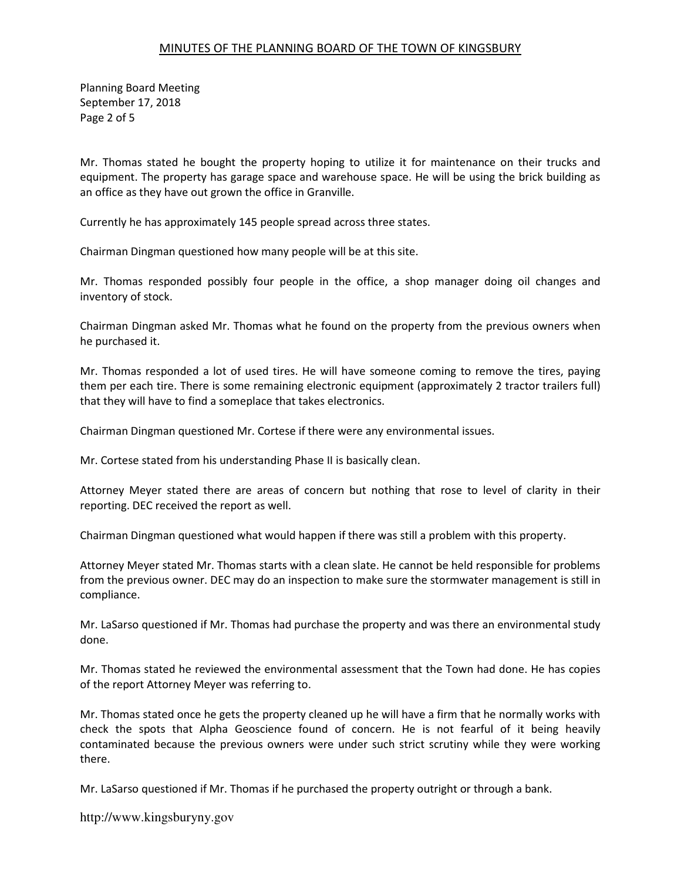Planning Board Meeting September 17, 2018 Page 2 of 5

Mr. Thomas stated he bought the property hoping to utilize it for maintenance on their trucks and equipment. The property has garage space and warehouse space. He will be using the brick building as an office as they have out grown the office in Granville.

Currently he has approximately 145 people spread across three states.

Chairman Dingman questioned how many people will be at this site.

Mr. Thomas responded possibly four people in the office, a shop manager doing oil changes and inventory of stock.

Chairman Dingman asked Mr. Thomas what he found on the property from the previous owners when he purchased it.

Mr. Thomas responded a lot of used tires. He will have someone coming to remove the tires, paying them per each tire. There is some remaining electronic equipment (approximately 2 tractor trailers full) that they will have to find a someplace that takes electronics.

Chairman Dingman questioned Mr. Cortese if there were any environmental issues.

Mr. Cortese stated from his understanding Phase II is basically clean.

Attorney Meyer stated there are areas of concern but nothing that rose to level of clarity in their reporting. DEC received the report as well.

Chairman Dingman questioned what would happen if there was still a problem with this property.

Attorney Meyer stated Mr. Thomas starts with a clean slate. He cannot be held responsible for problems from the previous owner. DEC may do an inspection to make sure the stormwater management is still in compliance.

Mr. LaSarso questioned if Mr. Thomas had purchase the property and was there an environmental study done.

Mr. Thomas stated he reviewed the environmental assessment that the Town had done. He has copies of the report Attorney Meyer was referring to.

Mr. Thomas stated once he gets the property cleaned up he will have a firm that he normally works with check the spots that Alpha Geoscience found of concern. He is not fearful of it being heavily contaminated because the previous owners were under such strict scrutiny while they were working there.

Mr. LaSarso questioned if Mr. Thomas if he purchased the property outright or through a bank.

http://www.kingsburyny.gov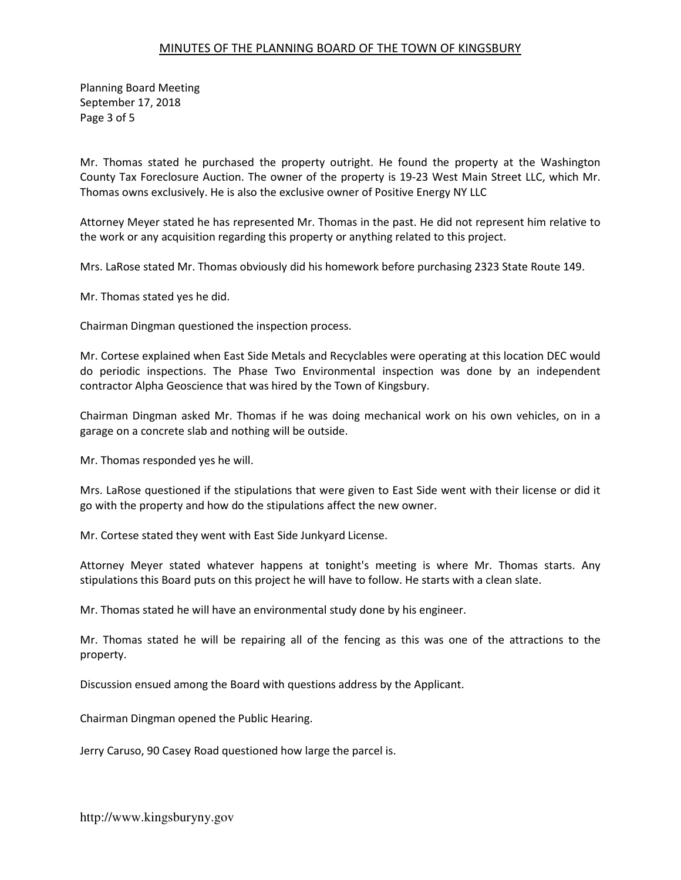Planning Board Meeting September 17, 2018 Page 3 of 5

Mr. Thomas stated he purchased the property outright. He found the property at the Washington County Tax Foreclosure Auction. The owner of the property is 19-23 West Main Street LLC, which Mr. Thomas owns exclusively. He is also the exclusive owner of Positive Energy NY LLC

Attorney Meyer stated he has represented Mr. Thomas in the past. He did not represent him relative to the work or any acquisition regarding this property or anything related to this project.

Mrs. LaRose stated Mr. Thomas obviously did his homework before purchasing 2323 State Route 149.

Mr. Thomas stated yes he did.

Chairman Dingman questioned the inspection process.

Mr. Cortese explained when East Side Metals and Recyclables were operating at this location DEC would do periodic inspections. The Phase Two Environmental inspection was done by an independent contractor Alpha Geoscience that was hired by the Town of Kingsbury.

Chairman Dingman asked Mr. Thomas if he was doing mechanical work on his own vehicles, on in a garage on a concrete slab and nothing will be outside.

Mr. Thomas responded yes he will.

Mrs. LaRose questioned if the stipulations that were given to East Side went with their license or did it go with the property and how do the stipulations affect the new owner.

Mr. Cortese stated they went with East Side Junkyard License.

Attorney Meyer stated whatever happens at tonight's meeting is where Mr. Thomas starts. Any stipulations this Board puts on this project he will have to follow. He starts with a clean slate.

Mr. Thomas stated he will have an environmental study done by his engineer.

Mr. Thomas stated he will be repairing all of the fencing as this was one of the attractions to the property.

Discussion ensued among the Board with questions address by the Applicant.

Chairman Dingman opened the Public Hearing.

Jerry Caruso, 90 Casey Road questioned how large the parcel is.

http://www.kingsburyny.gov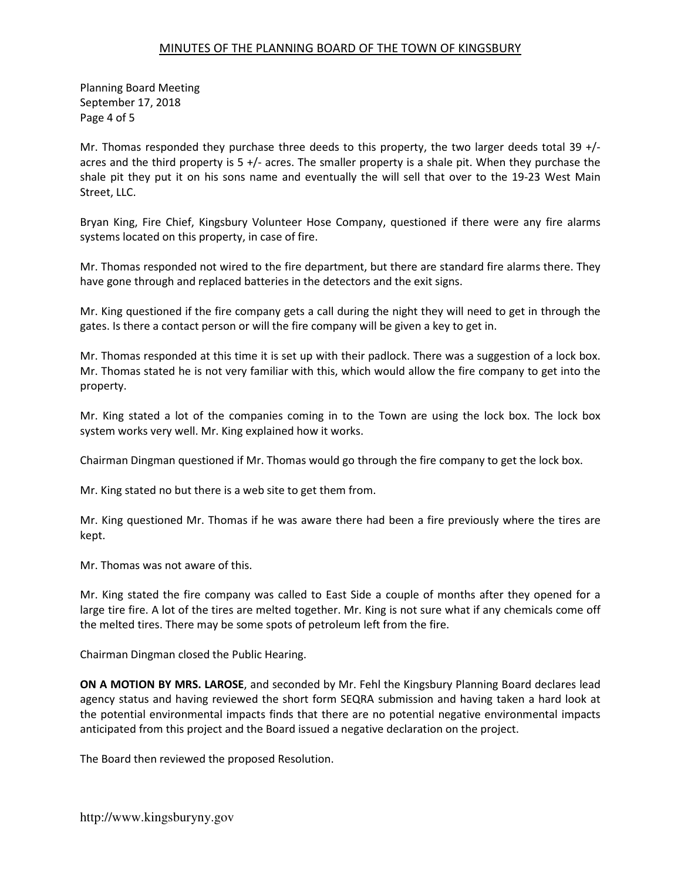Planning Board Meeting September 17, 2018 Page 4 of 5

Mr. Thomas responded they purchase three deeds to this property, the two larger deeds total 39 +/acres and the third property is 5 +/- acres. The smaller property is a shale pit. When they purchase the shale pit they put it on his sons name and eventually the will sell that over to the 19-23 West Main Street, LLC.

Bryan King, Fire Chief, Kingsbury Volunteer Hose Company, questioned if there were any fire alarms systems located on this property, in case of fire.

Mr. Thomas responded not wired to the fire department, but there are standard fire alarms there. They have gone through and replaced batteries in the detectors and the exit signs.

Mr. King questioned if the fire company gets a call during the night they will need to get in through the gates. Is there a contact person or will the fire company will be given a key to get in.

Mr. Thomas responded at this time it is set up with their padlock. There was a suggestion of a lock box. Mr. Thomas stated he is not very familiar with this, which would allow the fire company to get into the property.

Mr. King stated a lot of the companies coming in to the Town are using the lock box. The lock box system works very well. Mr. King explained how it works.

Chairman Dingman questioned if Mr. Thomas would go through the fire company to get the lock box.

Mr. King stated no but there is a web site to get them from.

Mr. King questioned Mr. Thomas if he was aware there had been a fire previously where the tires are kept.

Mr. Thomas was not aware of this.

Mr. King stated the fire company was called to East Side a couple of months after they opened for a large tire fire. A lot of the tires are melted together. Mr. King is not sure what if any chemicals come off the melted tires. There may be some spots of petroleum left from the fire.

Chairman Dingman closed the Public Hearing.

ON A MOTION BY MRS. LAROSE, and seconded by Mr. Fehl the Kingsbury Planning Board declares lead agency status and having reviewed the short form SEQRA submission and having taken a hard look at the potential environmental impacts finds that there are no potential negative environmental impacts anticipated from this project and the Board issued a negative declaration on the project.

The Board then reviewed the proposed Resolution.